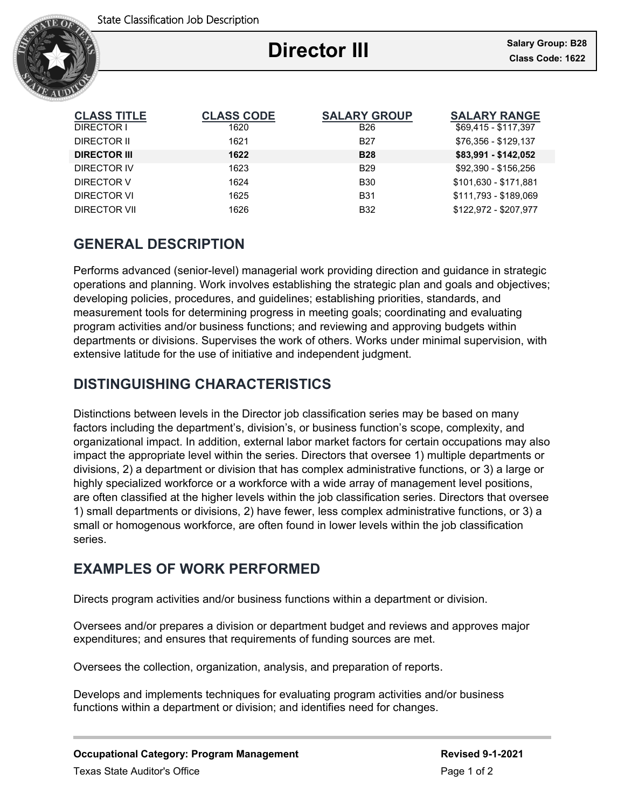

Ξ

| <b>CLASS TITLE</b>  | <b>CLASS CODE</b> | <b>SALARY GROUP</b> | <b>SALARY RANGE</b>   |
|---------------------|-------------------|---------------------|-----------------------|
| DIRECTOR I          | 1620              | B <sub>26</sub>     | \$69,415 - \$117,397  |
| DIRECTOR II         | 1621              | <b>B27</b>          | \$76,356 - \$129,137  |
| <b>DIRECTOR III</b> | 1622              | <b>B28</b>          | \$83,991 - \$142,052  |
| DIRECTOR IV         | 1623              | <b>B29</b>          | \$92,390 - \$156,256  |
| DIRECTOR V          | 1624              | <b>B30</b>          | \$101,630 - \$171,881 |
| DIRECTOR VI         | 1625              | <b>B31</b>          | \$111.793 - \$189.069 |
| DIRECTOR VII        | 1626              | <b>B32</b>          | \$122.972 - \$207.977 |

# **GENERAL DESCRIPTION**

Performs advanced (senior-level) managerial work providing direction and guidance in strategic operations and planning. Work involves establishing the strategic plan and goals and objectives; developing policies, procedures, and guidelines; establishing priorities, standards, and measurement tools for determining progress in meeting goals; coordinating and evaluating program activities and/or business functions; and reviewing and approving budgets within departments or divisions. Supervises the work of others. Works under minimal supervision, with extensive latitude for the use of initiative and independent judgment.

# **DISTINGUISHING CHARACTERISTICS**

Distinctions between levels in the Director job classification series may be based on many factors including the department's, division's, or business function's scope, complexity, and organizational impact. In addition, external labor market factors for certain occupations may also impact the appropriate level within the series. Directors that oversee 1) multiple departments or divisions, 2) a department or division that has complex administrative functions, or 3) a large or highly specialized workforce or a workforce with a wide array of management level positions, are often classified at the higher levels within the job classification series. Directors that oversee 1) small departments or divisions, 2) have fewer, less complex administrative functions, or 3) a small or homogenous workforce, are often found in lower levels within the job classification series.

# **EXAMPLES OF WORK PERFORMED**

Directs program activities and/or business functions within a department or division.

Oversees and/or prepares a division or department budget and reviews and approves major expenditures; and ensures that requirements of funding sources are met.

Oversees the collection, organization, analysis, and preparation of reports.

Develops and implements techniques for evaluating program activities and/or business functions within a department or division; and identifies need for changes.